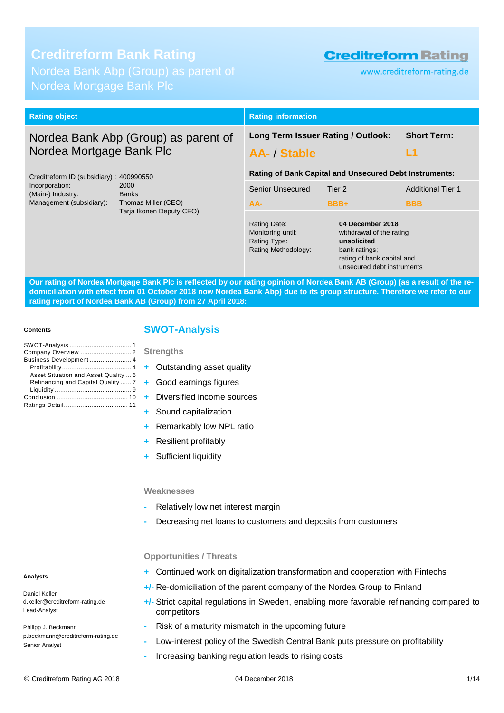# **Creditreform Bank Rating**

Nordea Mortgage Bank Plc

# **Creditreform Rating**

www.creditreform-rating.de

| <b>Rating object</b>                                             |                                                                          | <b>Rating information</b>                                                                                                                |                                                               |                          |  |  |
|------------------------------------------------------------------|--------------------------------------------------------------------------|------------------------------------------------------------------------------------------------------------------------------------------|---------------------------------------------------------------|--------------------------|--|--|
| Nordea Bank Abp (Group) as parent of<br>Nordea Mortgage Bank Plc |                                                                          | Long Term Issuer Rating / Outlook:<br>L1<br><b>AA- / Stable</b>                                                                          |                                                               | <b>Short Term:</b>       |  |  |
| Creditreform ID (subsidiary): 400990550                          |                                                                          |                                                                                                                                          | <b>Rating of Bank Capital and Unsecured Debt Instruments:</b> |                          |  |  |
| Incorporation:<br>(Main-) Industry:                              | 2000<br><b>Banks</b>                                                     | Senior Unsecured                                                                                                                         | Tier 2                                                        | <b>Additional Tier 1</b> |  |  |
| Management (subsidiary):                                         | Thomas Miller (CEO)                                                      | $AA-$                                                                                                                                    | BBB+                                                          | <b>BBB</b>               |  |  |
| Tarja Ikonen Deputy CEO)                                         | Rating Date:<br>Monitoring until:<br>Rating Type:<br>Rating Methodology: | 04 December 2018<br>withdrawal of the rating<br>unsolicited<br>bank ratings;<br>rating of bank capital and<br>unsecured debt instruments |                                                               |                          |  |  |

**Our rating of Nordea Mortgage Bank Plc is reflected by our rating opinion of Nordea Bank AB (Group) (as a result of the redomiciliation with effect from 01 October 2018 now Nordea Bank Abp) due to its group structure. Therefore we refer to our rating report of Nordea Bank AB (Group) from 27 April 2018:**

#### **Contents**

| Business Development 4               |  |
|--------------------------------------|--|
|                                      |  |
| Asset Situation and Asset Quality  6 |  |
| Refinancing and Capital Quality  7   |  |
|                                      |  |
|                                      |  |
|                                      |  |

## <span id="page-0-0"></span>**SWOT-Analysis**

#### **Strengths**

- **+** Outstanding asset quality
- **+** Good earnings figures
- **+** Diversified income sources
- **+** Sound capitalization
- **+** Remarkably low NPL ratio
- **+** Resilient profitably
- **+** Sufficient liquidity

#### **Weaknesses**

- **-** Relatively low net interest margin
- **-** Decreasing net loans to customers and deposits from customers

## **Opportunities / Threats**

- **+** Continued work on digitalization transformation and cooperation with Fintechs
- **+/-** Re-domiciliation of the parent company of the Nordea Group to Finland
- **+/-** Strict capital regulations in Sweden, enabling more favorable refinancing compared to competitors
- **-** Risk of a maturity mismatch in the upcoming future
- **-** Low-interest policy of the Swedish Central Bank puts pressure on profitability
- **-** Increasing banking regulation leads to rising costs

## **Analysts**

Daniel Keller d.keller@creditreform-rating.de Lead-Analyst

Philipp J. Beckmann p.beckmann@creditreform-rating.de Senior Analyst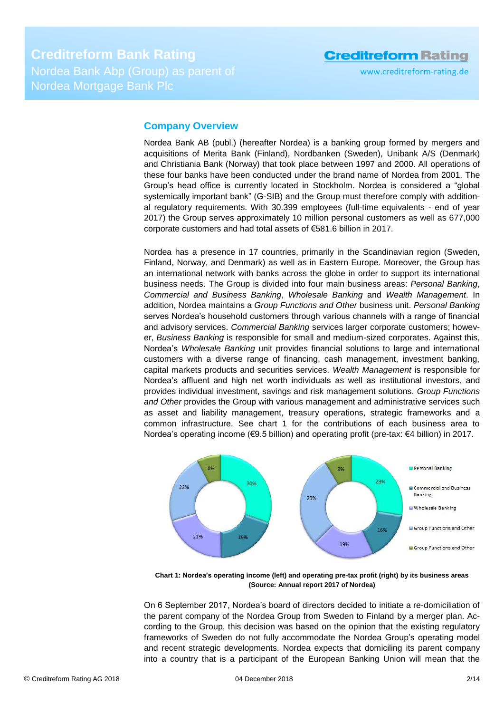# <span id="page-1-0"></span>**Company Overview**

Nordea Bank AB (publ.) (hereafter Nordea) is a banking group formed by mergers and acquisitions of Merita Bank (Finland), Nordbanken (Sweden), Unibank A/S (Denmark) and Christiania Bank (Norway) that took place between 1997 and 2000. All operations of these four banks have been conducted under the brand name of Nordea from 2001. The Group's head office is currently located in Stockholm. Nordea is considered a "global systemically important bank" (G-SIB) and the Group must therefore comply with additional regulatory requirements. With 30.399 employees (full-time equivalents - end of year 2017) the Group serves approximately 10 million personal customers as well as 677,000 corporate customers and had total assets of €581.6 billion in 2017.

Nordea has a presence in 17 countries, primarily in the Scandinavian region (Sweden, Finland, Norway, and Denmark) as well as in Eastern Europe. Moreover, the Group has an international network with banks across the globe in order to support its international business needs. The Group is divided into four main business areas: *Personal Banking*, *Commercial and Business Banking*, *Wholesale Banking* and *Wealth Management*. In addition, Nordea maintains a *Group Functions and Other* business unit. *Personal Banking* serves Nordea's household customers through various channels with a range of financial and advisory services. *Commercial Banking* services larger corporate customers; however, *Business Banking* is responsible for small and medium-sized corporates. Against this, Nordea's *Wholesale Banking* unit provides financial solutions to large and international customers with a diverse range of financing, cash management, investment banking, capital markets products and securities services. *Wealth Management* is responsible for Nordea's affluent and high net worth individuals as well as institutional investors, and provides individual investment, savings and risk management solutions. *Group Functions and Other* provides the Group with various management and administrative services such as asset and liability management, treasury operations, strategic frameworks and a common infrastructure. See chart 1 for the contributions of each business area to Nordea's operating income (€9.5 billion) and operating profit (pre-tax: €4 billion) in 2017.



**Chart 1: Nordea's operating income (left) and operating pre-tax profit (right) by its business areas (Source: Annual report 2017 of Nordea)**

On 6 September 2017, Nordea's board of directors decided to initiate a re-domiciliation of the parent company of the Nordea Group from Sweden to Finland by a merger plan. According to the Group, this decision was based on the opinion that the existing regulatory frameworks of Sweden do not fully accommodate the Nordea Group's operating model and recent strategic developments. Nordea expects that domiciling its parent company into a country that is a participant of the European Banking Union will mean that the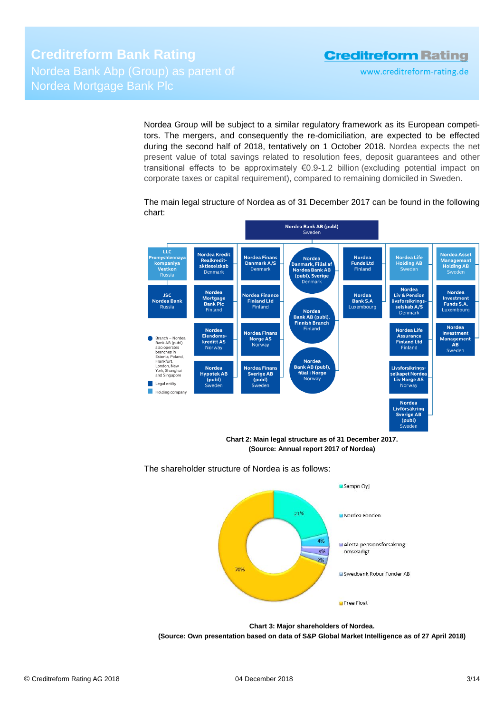www.creditreform-rating.de

Nordea Group will be subject to a similar regulatory framework as its European competitors. The mergers, and consequently the re-domiciliation, are expected to be effected during the second half of 2018, tentatively on 1 October 2018. Nordea expects the net present value of total savings related to resolution fees, deposit guarantees and other transitional effects to be approximately €0.9-1.2 billion (excluding potential impact on corporate taxes or capital requirement), compared to remaining domiciled in Sweden.

The main legal structure of Nordea as of 31 December 2017 can be found in the following chart:



**Chart 2: Main legal structure as of 31 December 2017. (Source: Annual report 2017 of Nordea)**



The shareholder structure of Nordea is as follows:

**(Source: Own presentation based on data of S&P Global Market Intelligence as of 27 April 2018)**

**Chart 3: Major shareholders of Nordea.**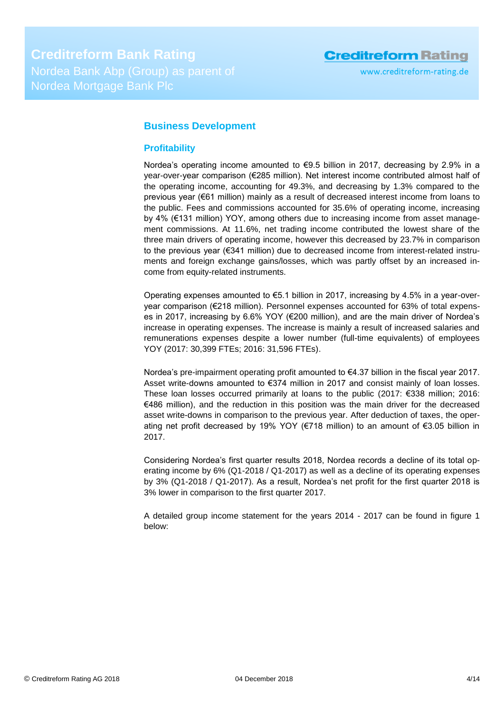www.creditreform-rating.de

# <span id="page-3-0"></span>**Business Development**

## <span id="page-3-1"></span>**Profitability**

Nordea's operating income amounted to €9.5 billion in 2017, decreasing by 2.9% in a year-over-year comparison (€285 million). Net interest income contributed almost half of the operating income, accounting for 49.3%, and decreasing by 1.3% compared to the previous year (€61 million) mainly as a result of decreased interest income from loans to the public. Fees and commissions accounted for 35.6% of operating income, increasing by 4% (€131 million) YOY, among others due to increasing income from asset management commissions. At 11.6%, net trading income contributed the lowest share of the three main drivers of operating income, however this decreased by 23.7% in comparison to the previous year (€341 million) due to decreased income from interest-related instruments and foreign exchange gains/losses, which was partly offset by an increased income from equity-related instruments.

Operating expenses amounted to  $€5.1$  billion in 2017, increasing by 4.5% in a year-overyear comparison (€218 million). Personnel expenses accounted for 63% of total expenses in 2017, increasing by 6.6% YOY (€200 million), and are the main driver of Nordea's increase in operating expenses. The increase is mainly a result of increased salaries and remunerations expenses despite a lower number (full-time equivalents) of employees YOY (2017: 30,399 FTEs; 2016: 31,596 FTEs).

Nordea's pre-impairment operating profit amounted to €4.37 billion in the fiscal year 2017. Asset write-downs amounted to €374 million in 2017 and consist mainly of loan losses. These loan losses occurred primarily at loans to the public (2017: €338 million; 2016: €486 million), and the reduction in this position was the main driver for the decreased asset write-downs in comparison to the previous year. After deduction of taxes, the operating net profit decreased by 19% YOY (€718 million) to an amount of €3.05 billion in 2017.

Considering Nordea's first quarter results 2018, Nordea records a decline of its total operating income by 6% (Q1-2018 / Q1-2017) as well as a decline of its operating expenses by 3% (Q1-2018 / Q1-2017). As a result, Nordea's net profit for the first quarter 2018 is 3% lower in comparison to the first quarter 2017.

A detailed group income statement for the years 2014 - 2017 can be found in figure 1 below: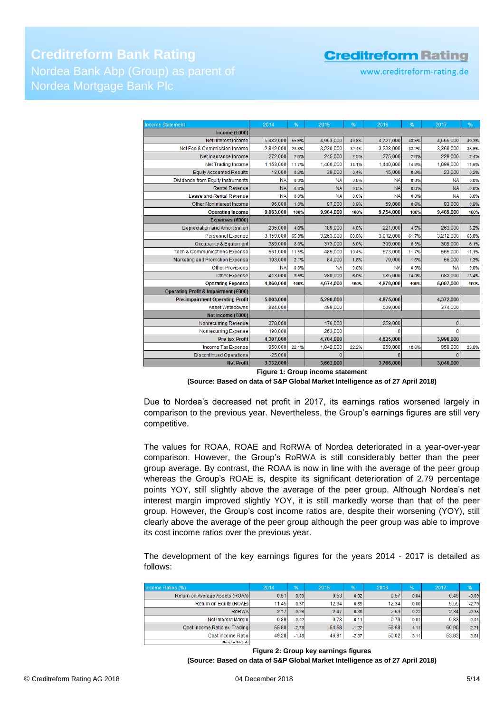**Creditreform Bank Rating** Nordea Mortgage Bank Plc

www.creditreform-rating.de

| <b>Income Statement</b>                  | 2014      | %     | 2015      | %     | 2016      | %     | 2017         | %     |
|------------------------------------------|-----------|-------|-----------|-------|-----------|-------|--------------|-------|
| Income ( $\epsilon$ 000)                 |           |       |           |       |           |       |              |       |
| Net Interest Income                      | 5,482,000 | 55.6% | 4,963,000 | 49.8% | 4,727,000 | 48.5% | 4,666,000    | 49.3% |
| Net Fee & Commission Income              | 2.842.000 | 28.8% | 3,230,000 | 32.4% | 3,238,000 | 33.2% | 3,369,000    | 35.6% |
| Net Insurance Income                     | 272,000   | 2.8%  | 245,000   | 2.5%  | 275,000   | 2.8%  | 229,000      | 2.4%  |
| <b>Net Trading Income</b>                | 1,153,000 | 11.7% | 1,400,000 | 14.1% | 1,440,000 | 14.8% | 1,099,000    | 11.6% |
| <b>Equity Accounted Results</b>          | 18,000    | 0.2%  | 39,000    | 0.4%  | 15,000    | 0.2%  | 23,000       | 0.2%  |
| Dividends from Equity Instruments        | <b>NA</b> | 0.0%  | <b>NA</b> | 0.0%  | <b>NA</b> | 0.0%  | <b>NA</b>    | 0.0%  |
| <b>Rental Revenue</b>                    | <b>NA</b> | 0.0%  | <b>NA</b> | 0.0%  | <b>NA</b> | 0.0%  | <b>NA</b>    | 0.0%  |
| Lease and Rental Revenue                 | <b>NA</b> | 0.0%  | <b>NA</b> | 0.0%  | <b>NA</b> | 0.0%  | <b>NA</b>    | 0.0%  |
| Other Noninterest Income                 | 96,000    | 1.0%  | 87,000    | 0.9%  | 59,000    | 0.6%  | 83,000       | 0.9%  |
| <b>Operating Income</b>                  | 9,863,000 | 100%  | 9,964,000 | 100%  | 9,754,000 | 100%  | 9,469,000    | 100%  |
| Expenses (€000)                          |           |       |           |       |           |       |              |       |
| Depreciation and Amortisation            | 235,000   | 4.8%  | 189,000   | 4.0%  | 221,000   | 4.5%  | 263,000      | 5.2%  |
| <b>Personnel Expense</b>                 | 3,159,000 | 65.0% | 3,263,000 | 69.8% | 3,012,000 | 61.7% | 3,212,000    | 63.0% |
| Occupancy & Equipment                    | 389,000   | 8.0%  | 373,000   | 8.0%  | 309,000   | 6.3%  | 309,000      | 6.1%  |
| <b>Tech &amp; Communications Expense</b> | 561,000   | 11.5% | 485,000   | 10.4% | 573,000   | 11.7% | 565,000      | 11.1% |
| Marketing and Promotion Expense          | 103,000   | 2.1%  | 84,000    | 1.8%  | 79,000    | 1.6%  | 66,000       | 1.3%  |
| <b>Other Provisions</b>                  | <b>NA</b> | 0.0%  | <b>NA</b> | 0.0%  | <b>NA</b> | 0.0%  | <b>NA</b>    | 0.0%  |
| Other Expense                            | 413,000   | 8.5%  | 280,000   | 6.0%  | 685,000   | 14.0% | 682,000      | 13.4% |
| <b>Operating Expense</b>                 | 4,860,000 | 100%  | 4,674,000 | 100%  | 4,879,000 | 100%  | 5,097,000    | 100%  |
| Operating Profit & Impairment (€000)     |           |       |           |       |           |       |              |       |
| <b>Pre-impairment Operating Profit</b>   | 5,003,000 |       | 5,290,000 |       | 4,875,000 |       | 4,372,000    |       |
| Asset Writedowns                         | 884,000   |       | 499,000   |       | 509,000   |       | 374,000      |       |
| Net Income (€000)                        |           |       |           |       |           |       |              |       |
| Nonrecurring Revenue                     | 378,000   |       | 176,000   |       | 259,000   |       | $\mathbf{0}$ |       |
| <b>Nonrecurring Expense</b>              | 190,000   |       | 263,000   |       | 0         |       | 0            |       |
| <b>Pre-tax Profit</b>                    | 4,307,000 |       | 4,704,000 |       | 4,625,000 |       | 3,998,000    |       |
| <b>Income Tax Expense</b>                | 950,000   | 22.1% | 1,042,000 | 22.2% | 859,000   | 18.6% | 950,000      | 23.8% |
| <b>Discontinued Operations</b>           | $-25.000$ |       | $\Omega$  |       |           |       | $\Omega$     |       |
| <b>Net Profit</b>                        | 3,332,000 |       | 3,662,000 |       | 3,766,000 |       | 3,048,000    |       |

**Figure 1: Group income statement**

#### **(Source: Based on data of S&P Global Market Intelligence as of 27 April 2018)**

Due to Nordea's decreased net profit in 2017, its earnings ratios worsened largely in comparison to the previous year. Nevertheless, the Group's earnings figures are still very competitive.

The values for ROAA, ROAE and RoRWA of Nordea deteriorated in a year-over-year comparison. However, the Group's RoRWA is still considerably better than the peer group average. By contrast, the ROAA is now in line with the average of the peer group whereas the Group's ROAE is, despite its significant deterioration of 2.79 percentage points YOY, still slightly above the average of the peer group. Although Nordea's net interest margin improved slightly YOY, it is still markedly worse than that of the peer group. However, the Group's cost income ratios are, despite their worsening (YOY), still clearly above the average of the peer group although the peer group was able to improve its cost income ratios over the previous year.

The development of the key earnings figures for the years 2014 - 2017 is detailed as follows:

| Income Ratios (%)               | 2014  | %       | 2015  | $\frac{9}{6}$ | 2016  | %    | 2017  | %       |
|---------------------------------|-------|---------|-------|---------------|-------|------|-------|---------|
| Return on Average Assets (ROAA) | 0.51  | 0.03    | 0.53  | 0.02          | 0.57  | 0.04 | 0.49  | $-0.09$ |
| Return on Equity (ROAE)         | 11.45 | 0.37    | 12.34 | 0.89          | 12.34 | 0.00 | 9.55  | $-2.79$ |
| RoRWA                           | 2.17  | 0.26    | 2.47  | 0.30          | 2.69  | 0.22 | 2.34  | $-0.35$ |
| Net Interest Margin             | 0.89  | $-0.02$ | 0.78  | $-0.11$       | 0.79  | 0.01 | 0.83  | 0.04    |
| Cost income Ratio ex. Trading   | 55.80 | $-2.78$ | 54.58 | $-1.22$       | 58.68 | 4.11 | 60.90 | 2.21    |
| Cost income Ratio               | 49.28 | $-1.48$ | 46.91 | $-2.37$       | 50.02 | 3.11 | 53.83 | 3.81    |
| Change in Z-Points              |       |         |       |               |       |      |       |         |

**Figure 2: Group key earnings figures (Source: Based on data of S&P Global Market Intelligence as of 27 April 2018)**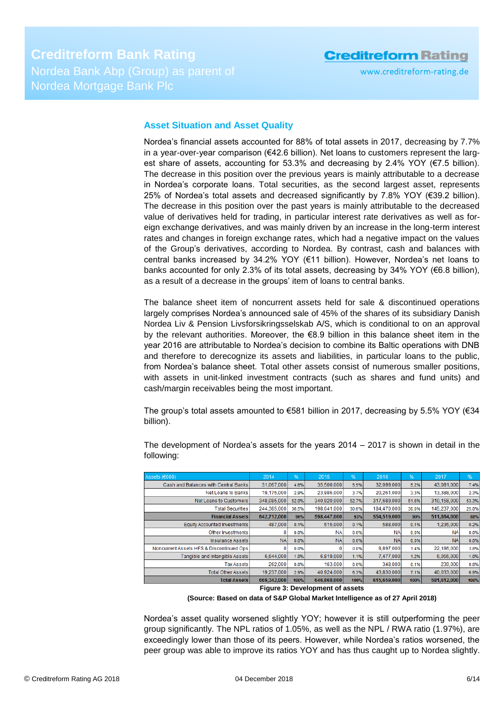## <span id="page-5-0"></span>**Asset Situation and Asset Quality**

Nordea's financial assets accounted for 88% of total assets in 2017, decreasing by 7.7% in a year-over-year comparison (€42.6 billion). Net loans to customers represent the largest share of assets, accounting for 53.3% and decreasing by 2.4% YOY ( $\epsilon$ 7.5 billion). The decrease in this position over the previous years is mainly attributable to a decrease in Nordea's corporate loans. Total securities, as the second largest asset, represents 25% of Nordea's total assets and decreased significantly by 7.8% YOY (€39.2 billion). The decrease in this position over the past years is mainly attributable to the decreased value of derivatives held for trading, in particular interest rate derivatives as well as foreign exchange derivatives, and was mainly driven by an increase in the long-term interest rates and changes in foreign exchange rates, which had a negative impact on the values of the Group's derivatives, according to Nordea. By contrast, cash and balances with central banks increased by 34.2% YOY (€11 billion). However, Nordea's net loans to banks accounted for only 2.3% of its total assets, decreasing by 34% YOY ( $\epsilon$ 6.8 billion), as a result of a decrease in the groups' item of loans to central banks.

The balance sheet item of noncurrent assets held for sale & discontinued operations largely comprises Nordea's announced sale of 45% of the shares of its subsidiary Danish Nordea Liv & Pension Livsforsikringsselskab A/S, which is conditional to on an approval by the relevant authorities. Moreover, the €8.9 billion in this balance sheet item in the year 2016 are attributable to Nordea's decision to combine its Baltic operations with DNB and therefore to derecognize its assets and liabilities, in particular loans to the public, from Nordea's balance sheet. Total other assets consist of numerous smaller positions, with assets in unit-linked investment contracts (such as shares and fund units) and cash/margin receivables being the most important.

The group's total assets amounted to  $€581$  billion in 2017, decreasing by 5.5% YOY ( $€34$ ) billion).

| Assets (€000)                            | 2014        | %     | 2015        | $\frac{96}{5}$ | 2016        | %     | 2017        | %     |
|------------------------------------------|-------------|-------|-------------|----------------|-------------|-------|-------------|-------|
| Cash and Balances with Central Banks     | 31,067,000  | 4.6%  | 35,500,000  | 5.5%           | 32,099,000  | 5.2%  | 43,081,000  | 7.4%  |
| Net Loans to Banks                       | 19,175,000  | 2.9%  | 23,986,000  | 3.7%           | 20,261,000  | 3.3%  | 13,388,000  | 2.3%  |
| Net Loans to Customers                   | 348.085.000 | 52.0% | 340,920,000 | 52.7%          | 317,689,000 | 51.6% | 310,158,000 | 53.3% |
| <b>Total Securities</b>                  | 244.385.000 | 36.5% | 198,041,000 | 30.6%          | 184,470,000 | 30.0% | 145.237.000 | 25.0% |
| <b>Financial Assets</b>                  | 642.712.000 | 96%   | 598,447,000 | 93%            | 554,519,000 | 90%   | 511,864,000 | 88%   |
| Equity Accounted Investments             | 487,000     | 0.1%  | 515,000     | 0.1%           | 588,000     | 0.1%  | 1,235,000   | 0.2%  |
| Other Investments                        |             | 0.0%  | <b>NA</b>   | 0.0%           | <b>NA</b>   | 0.0%  | <b>NA</b>   | 0.0%  |
| Insurance Assets                         | <b>NA</b>   | 0.0%  | <b>NA</b>   | 0.0%           | <b>NA</b>   | 0.0%  | <b>NA</b>   | 0.0%  |
| Noncurrent Assets HFS & Discontinued Ops |             | 0.0%  |             | 0.0%           | 8,897,000   | 1.4%  | 22,186,000  | 3.8%  |
| Tangible and Intangible Assets           | 6,644,000   | 1.0%  | 6,819,000   | 1.1%           | 7,477,000   | 1.2%  | 6,055,000   | 1.0%  |
| <b>Tax Assets</b>                        | 262,000     | 0.0%  | 163,000     | 0.0%           | 348,000     | 0.1%  | 239,000     | 0.0%  |
| <b>Total Other Assets</b>                | 19.237.000  | 2.9%  | 40.924.000  | 6.3%           | 43,830,000  | 7.1%  | 40.033.000  | 6.9%  |
| <b>Total Assets</b>                      | 669,342,000 | 100%  | 646,868,000 | 100%           | 615,659,000 | 100%  | 581,612,000 | 100%  |
|                                          |             |       |             |                |             |       |             |       |

The development of Nordea's assets for the years 2014 – 2017 is shown in detail in the following:

**(Source: Based on data of S&P Global Market Intelligence as of 27 April 2018)**

Nordea's asset quality worsened slightly YOY; however it is still outperforming the peer group significantly. The NPL ratios of 1.05%, as well as the NPL / RWA ratio (1.97%), are exceedingly lower than those of its peers. However, while Nordea's ratios worsened, the peer group was able to improve its ratios YOY and has thus caught up to Nordea slightly.

**Figure 3: Development of assets**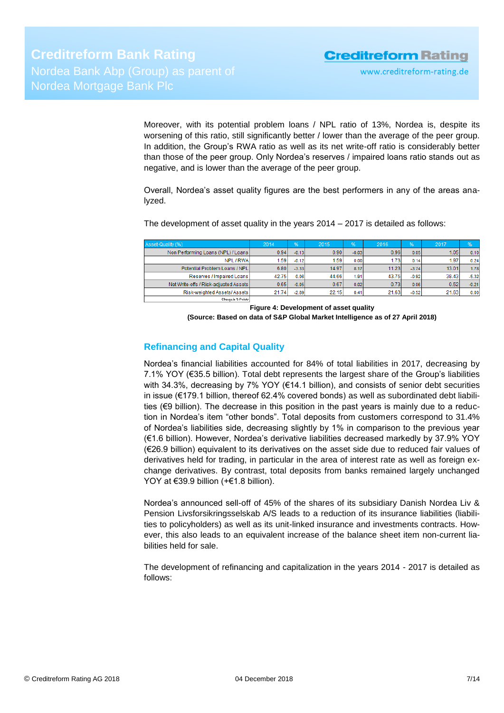Moreover, with its potential problem loans / NPL ratio of 13%, Nordea is, despite its worsening of this ratio, still significantly better / lower than the average of the peer group. In addition, the Group's RWA ratio as well as its net write-off ratio is considerably better than those of the peer group. Only Nordea's reserves / impaired loans ratio stands out as negative, and is lower than the average of the peer group.

Overall, Nordea's asset quality figures are the best performers in any of the areas analyzed.

The development of asset quality in the years 2014 – 2017 is detailed as follows:

| Asset-Quality (%)                     | 2014  | %       | 2015  | %       | 2016  | $\frac{9}{6}$ | 2017  | 196     |
|---------------------------------------|-------|---------|-------|---------|-------|---------------|-------|---------|
| Non Performing Loans (NPL) / Loans    | 0.94  | $-0.13$ | 0.90  | $-0.03$ | 0.96  | 0.05          | 1.05  | 0.10    |
| NPL / RWA                             | 1.59  | $-0.12$ | 1.59  | 0.001   | 1.73  | 0.14          | 1.97  | 0.24    |
| Potential Problem Loans / NPL         | 6.80  | $-3.33$ | 14.97 | 8.17    | 11.23 | $-3.74$       | 13.01 | 1.78    |
| Reserves / Impaired Loans             | 42.75 | 0.06    | 44.66 | 1.911   | 43.75 | $-0.92$       | 38.43 | $-5.32$ |
| Net Write-offs / Risk-adjusted Assets | 0.65  | $-0.05$ | 0.67  | 0.02    | 0.73  | 0.06          | 0.52  | $-0.21$ |
| Risk-weighted Assets/ Assets          | 21.74 | $-2.89$ | 22.15 | 0.41    | 21.63 | $-0.52$       | 21.63 | 0.00    |
| Change in S-Points                    |       |         |       |         |       |               |       |         |

**Figure 4: Development of asset quality**

**(Source: Based on data of S&P Global Market Intelligence as of 27 April 2018)**

# <span id="page-6-0"></span>**Refinancing and Capital Quality**

Nordea's financial liabilities accounted for 84% of total liabilities in 2017, decreasing by 7.1% YOY (€35.5 billion). Total debt represents the largest share of the Group's liabilities with 34.3%, decreasing by 7% YOY (€14.1 billion), and consists of senior debt securities in issue (€179.1 billion, thereof 62.4% covered bonds) as well as subordinated debt liabilities (€9 billion). The decrease in this position in the past years is mainly due to a reduction in Nordea's item "other bonds". Total deposits from customers correspond to 31.4% of Nordea's liabilities side, decreasing slightly by 1% in comparison to the previous year (€1.6 billion). However, Nordea's derivative liabilities decreased markedly by 37.9% YOY (€26.9 billion) equivalent to its derivatives on the asset side due to reduced fair values of derivatives held for trading, in particular in the area of interest rate as well as foreign exchange derivatives. By contrast, total deposits from banks remained largely unchanged YOY at €39.9 billion (+€1.8 billion).

Nordea's announced sell-off of 45% of the shares of its subsidiary Danish Nordea Liv & Pension Livsforsikringsselskab A/S leads to a reduction of its insurance liabilities (liabilities to policyholders) as well as its unit-linked insurance and investments contracts. However, this also leads to an equivalent increase of the balance sheet item non-current liabilities held for sale.

The development of refinancing and capitalization in the years 2014 - 2017 is detailed as follows: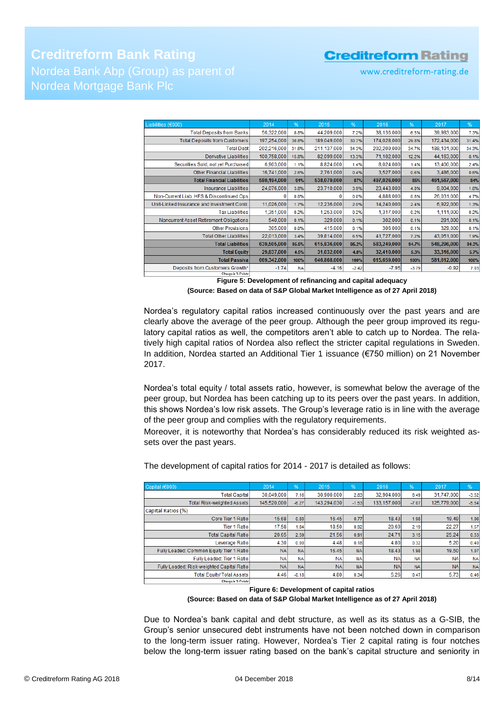# **Creditreform Bank Rating** Nordea Mortgage Bank Plc

# **Creditreform Rating**

www.creditreform-rating.de

| Liabilities (€000)                          | 2014        | %         | 2015        | %       | 2016        | %       | 2017        | %     |
|---------------------------------------------|-------------|-----------|-------------|---------|-------------|---------|-------------|-------|
| <b>Total Deposits from Banks</b>            | 56,322,000  | 8.8%      | 44,209,000  | 7.2%    | 38,136,000  | 6.5%    | 39,983,000  | 7.3%  |
| <b>Total Deposits from Customers</b>        | 197,254,000 | 30.8%     | 189,049,000 | 30.7%   | 174,028,000 | 29.8%   | 172,434,000 | 31.4% |
| <b>Total Debt</b>                           | 202,216,000 | 31.6%     | 211,137,000 | 34.3%   | 202,209,000 | 34.7%   | 188,101,000 | 34.3% |
| Derivative Liabilities                      | 100,758,000 | 15.8%     | 82,099,000  | 13.3%   | 71,102,000  | 12.2%   | 44,163,000  | 8.1%  |
| Securities Sold, not yet Purchased          | 6,903,000   | 1.1%      | 8,824,000   | 1.4%    | 8,024,000   | 1.4%    | 13,400,000  | 2.4%  |
| <b>Other Financial Liabilities</b>          | 16,741,000  | 2.6%      | 2,761,000   | 0.4%    | 3,527,000   | 0.6%    | 3,486,000   | 0.6%  |
| <b>Total Financial Liabilities</b>          | 580,194,000 | 91%       | 538,079,000 | 87%     | 497,026,000 | 85%     | 461,567,000 | 84%   |
| <b>Insurance Liabilities</b>                | 24,076,000  | 3.8%      | 23,710,000  | 3.9%    | 23,443,000  | 4.0%    | 9,004,000   | 1.6%  |
| Non-Current Liab. HFS & Discontinued Ops    |             | 0.0%      |             | 0.0%    | 4,888,000   | 0.8%    | 26,031,000  | 4.7%  |
| Unit-Linked Insurance and Investment Contr. | 11,026,000  | 1.7%      | 12,236,000  | 2.0%    | 14,240,000  | 2.4%    | 6,922,000   | 1.3%  |
| <b>Tax Liabilities</b>                      | 1,351,000   | 0.2%      | 1,253,000   | 0.2%    | 1,317,000   | 0.2%    | 1,111,000   | 0.2%  |
| Noncurrent Asset Retirement Obligations     | 540,000     | 0.1%      | 329,000     | 0.1%    | 302,000     | 0.1%    | 281,000     | 0.1%  |
| <b>Other Provisions</b>                     | 305,000     | 0.0%      | 415,000     | 0.1%    | 306,000     | 0.1%    | 329,000     | 0.1%  |
| <b>Total Other Liabilities</b>              | 22.013.000  | 3.4%      | 39.814,000  | 6.5%    | 41,727,000  | 7.2%    | 43.051.000  | 7.9%  |
| <b>Total Liabilities</b>                    | 639,505,000 | 95.5%     | 615,836,000 | 95.2%   | 583,249,000 | 94.7%   | 548,296,000 | 94.3% |
| <b>Total Equity</b>                         | 29,837,000  | 4.5%      | 31,032,000  | 4.8%    | 32,410,000  | 5.3%    | 33,316,000  | 5.7%  |
| <b>Total Passiva</b>                        | 669,342,000 | 100%      | 646,868,000 | 100%    | 615,659,000 | 100%    | 581,612,000 | 100%  |
| Deposits from Customers Growth*             | $-1.74$     | <b>NA</b> | $-4.16$     | $-2.42$ | $-7.95$     | $-3.79$ | $-0.92$     | 7.03  |
| Change in McDalated                         |             |           |             |         |             |         |             |       |

**Figure 5: Development of refinancing and capital adequacy (Source: Based on data of S&P Global Market Intelligence as of 27 April 2018)**

Nordea's regulatory capital ratios increased continuously over the past years and are clearly above the average of the peer group. Although the peer group improved its regulatory capital ratios as well, the competitors aren't able to catch up to Nordea. The relatively high capital ratios of Nordea also reflect the stricter capital regulations in Sweden. In addition, Nordea started an Additional Tier 1 issuance (€750 million) on 21 November 2017.

Nordea's total equity / total assets ratio, however, is somewhat below the average of the peer group, but Nordea has been catching up to its peers over the past years. In addition, this shows Nordea's low risk assets. The Group's leverage ratio is in line with the average of the peer group and complies with the regulatory requirements.

Moreover, it is noteworthy that Nordea's has considerably reduced its risk weighted assets over the past years.

| Capital (€000)                            | 2014        | $\frac{9}{6}$ | 2015        | %          | 2016        | $\frac{9}{6}$ | 2017        | %         |
|-------------------------------------------|-------------|---------------|-------------|------------|-------------|---------------|-------------|-----------|
| <b>Total Capital</b>                      | 30.049.000  | 7.16          | 30.900.000  | 2.83       | 32.904.000  | 6.49          | 31.747.000  | $-3.52$   |
| Total Risk-weighted Assets                | 145.520.000 | $-6.27$       | 143.294.030 | $-1.53$    | 133.157.000 | $-7.07$       | 125.779.000 | $-5.54$   |
| Capital Ratios (%)                        |             |               |             |            |             |               |             |           |
| Core Tier 1 Ratio                         | 15.68       | 0.80          | 16.45       | 0.77       | 18.43       | 1.98          | 19.49       | 1.06      |
| <b>Tier 1 Ratio</b>                       | 17.58       | 1.84          | 18.50       | 0.92       | 20.69       | 2.19          | 22.27       | 1.57      |
| <b>Total Capital Ratiol</b>               | 20.65       | 2.59          | 21.56       | 0.91       | 24.71       | 3.15          | 25.24       | 0.53      |
| Leverage Ratio                            | 4.30        | 0.00          | 4.48        | 0.18       | 4.80        | 0.32          | 5.20        | 0.40      |
| Fully Loaded: Common Equity Tier 1 Ratio  | <b>NAI</b>  | <b>NA</b>     | 16.45       | <b>NAI</b> | 18.43       | 1.98          | 19.50       | 1.07      |
| Fully Loaded: Tier 1 Ratio                | <b>NA</b>   | <b>NA</b>     | <b>NA</b>   | <b>NA</b>  | <b>NA</b>   | <b>NA</b>     | <b>NA</b>   | <b>NA</b> |
| Fully Loaded: Risk-weighted Capital Ratio | <b>NAI</b>  | <b>NAI</b>    | <b>NA</b>   | <b>NAI</b> | <b>NA</b>   | <b>NA</b>     | <b>NA</b>   | <b>NA</b> |
| <b>Total Equity/ Total Assets</b>         | 4.46        | $-0.18$       | 4.80        | 0.34       | 5.26        | 0.47          | 5.73        | 0.46      |
| Change in 2-Points                        |             |               |             |            |             |               |             |           |

The development of capital ratios for 2014 - 2017 is detailed as follows:

**Figure 6: Development of capital ratios**

**(Source: Based on data of S&P Global Market Intelligence as of 27 April 2018)**

Due to Nordea's bank capital and debt structure, as well as its status as a G-SIB, the Group's senior unsecured debt instruments have not been notched down in comparison to the long-term issuer rating. However, Nordea's Tier 2 capital rating is four notches below the long-term issuer rating based on the bank's capital structure and seniority in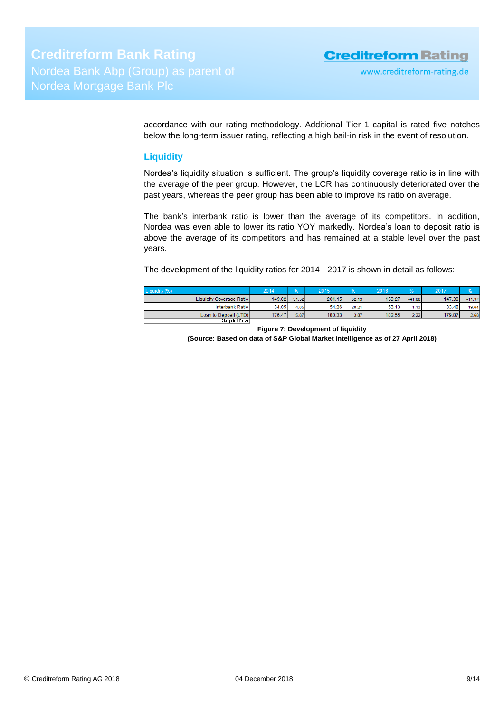accordance with our rating methodology. Additional Tier 1 capital is rated five notches below the long-term issuer rating, reflecting a high bail-in risk in the event of resolution.

## <span id="page-8-0"></span>**Liquidity**

Nordea's liquidity situation is sufficient. The group's liquidity coverage ratio is in line with the average of the peer group. However, the LCR has continuously deteriorated over the past years, whereas the peer group has been able to improve its ratio on average.

The bank's interbank ratio is lower than the average of its competitors. In addition, Nordea was even able to lower its ratio YOY markedly. Nordea's loan to deposit ratio is above the average of its competitors and has remained at a stable level over the past years.

The development of the liquidity ratios for 2014 - 2017 is shown in detail as follows:

| Liquidity (%)            | 2014   | <b>OA</b> | 2015   |       | 2016   | <b>SOA</b> | 2017   |          |
|--------------------------|--------|-----------|--------|-------|--------|------------|--------|----------|
| Liquidity Coverage Ratio | 149.02 | 31.52     | 201.15 | 52.13 | 159.27 | $-41.88$   | 147.30 | $-11.97$ |
| Interbank Ratio          | 34.05  | $-4.05$   | 54.26  | 20.21 | 53.13  | $-1.13$    | 33.48  | $-19.64$ |
| Loan to Deposit (LTD)    | 176.47 | 5.87      | 180.33 | 3.87  | 182.55 | 2.22       | 179.87 | $-2.68$  |
| Change in X-Points       |        |           |        |       |        |            |        |          |

**Figure 7: Development of liquidity**

**(Source: Based on data of S&P Global Market Intelligence as of 27 April 2018)**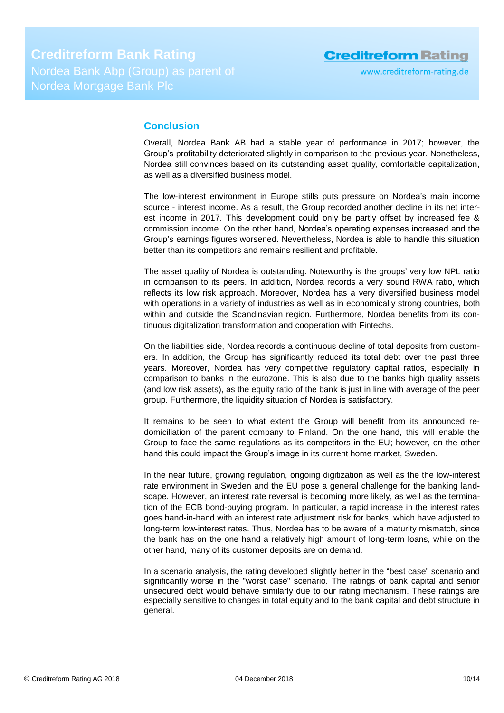# <span id="page-9-0"></span>**Conclusion**

Overall, Nordea Bank AB had a stable year of performance in 2017; however, the Group's profitability deteriorated slightly in comparison to the previous year. Nonetheless, Nordea still convinces based on its outstanding asset quality, comfortable capitalization, as well as a diversified business model.

The low-interest environment in Europe stills puts pressure on Nordea's main income source - interest income. As a result, the Group recorded another decline in its net interest income in 2017. This development could only be partly offset by increased fee & commission income. On the other hand, Nordea's operating expenses increased and the Group's earnings figures worsened. Nevertheless, Nordea is able to handle this situation better than its competitors and remains resilient and profitable.

The asset quality of Nordea is outstanding. Noteworthy is the groups' very low NPL ratio in comparison to its peers. In addition, Nordea records a very sound RWA ratio, which reflects its low risk approach. Moreover, Nordea has a very diversified business model with operations in a variety of industries as well as in economically strong countries, both within and outside the Scandinavian region. Furthermore, Nordea benefits from its continuous digitalization transformation and cooperation with Fintechs.

On the liabilities side, Nordea records a continuous decline of total deposits from customers. In addition, the Group has significantly reduced its total debt over the past three years. Moreover, Nordea has very competitive regulatory capital ratios, especially in comparison to banks in the eurozone. This is also due to the banks high quality assets (and low risk assets), as the equity ratio of the bank is just in line with average of the peer group. Furthermore, the liquidity situation of Nordea is satisfactory.

It remains to be seen to what extent the Group will benefit from its announced redomiciliation of the parent company to Finland. On the one hand, this will enable the Group to face the same regulations as its competitors in the EU; however, on the other hand this could impact the Group's image in its current home market, Sweden.

In the near future, growing regulation, ongoing digitization as well as the the low-interest rate environment in Sweden and the EU pose a general challenge for the banking landscape. However, an interest rate reversal is becoming more likely, as well as the termination of the ECB bond-buying program. In particular, a rapid increase in the interest rates goes hand-in-hand with an interest rate adjustment risk for banks, which have adjusted to long-term low-interest rates. Thus, Nordea has to be aware of a maturity mismatch, since the bank has on the one hand a relatively high amount of long-term loans, while on the other hand, many of its customer deposits are on demand.

In a scenario analysis, the rating developed slightly better in the "best case" scenario and significantly worse in the "worst case" scenario. The ratings of bank capital and senior unsecured debt would behave similarly due to our rating mechanism. These ratings are especially sensitive to changes in total equity and to the bank capital and debt structure in general.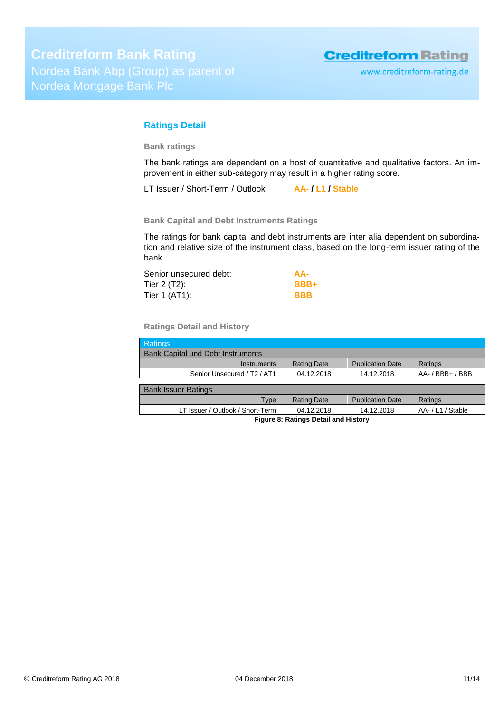www.creditreform-rating.de

## <span id="page-10-0"></span>**Ratings Detail**

**Bank ratings**

The bank ratings are dependent on a host of quantitative and qualitative factors. An improvement in either sub-category may result in a higher rating score.

LT Issuer / Short-Term / Outlook **AA- / L1 / Stable**

**Bank Capital and Debt Instruments Ratings**

The ratings for bank capital and debt instruments are inter alia dependent on subordination and relative size of the instrument class, based on the long-term issuer rating of the bank.

| Senior unsecured debt: | AA-         |
|------------------------|-------------|
| Tier 2 (T2):           | <b>BBB+</b> |
| Tier 1 (AT1):          | <b>BBB</b>  |

**Ratings Detail and History**

| <b>Ratings</b>                                      |                    |                         |                  |  |
|-----------------------------------------------------|--------------------|-------------------------|------------------|--|
| <b>Bank Capital und Debt Instruments</b>            |                    |                         |                  |  |
| <b>Instruments</b>                                  | <b>Rating Date</b> | <b>Publication Date</b> | Ratings          |  |
| Senior Unsecured / T <sub>2</sub> / AT <sub>1</sub> | 04.12.2018         | 14.12.2018              | AA- / BBB+ / BBB |  |
|                                                     |                    |                         |                  |  |
| <b>Bank Issuer Ratings</b>                          |                    |                         |                  |  |
| Type                                                | <b>Rating Date</b> | <b>Publication Date</b> | Ratings          |  |
| LT Issuer / Outlook / Short-Term                    | 04.12.2018         | 14.12.2018              | AA-/L1/Stable    |  |
| Figure 8: Ratings Detail and History                |                    |                         |                  |  |

**Figure 8: Ratings Detail and History**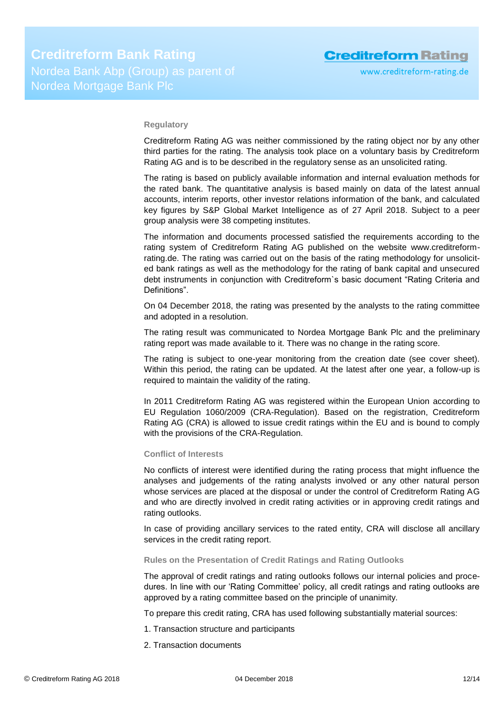## **Regulatory**

Creditreform Rating AG was neither commissioned by the rating object nor by any other third parties for the rating. The analysis took place on a voluntary basis by Creditreform Rating AG and is to be described in the regulatory sense as an unsolicited rating.

The rating is based on publicly available information and internal evaluation methods for the rated bank. The quantitative analysis is based mainly on data of the latest annual accounts, interim reports, other investor relations information of the bank, and calculated key figures by S&P Global Market Intelligence as of 27 April 2018. Subject to a peer group analysis were 38 competing institutes.

The information and documents processed satisfied the requirements according to the rating system of Creditreform Rating AG published on the website www.creditreformrating.de. The rating was carried out on the basis of the rating methodology for unsolicited bank ratings as well as the methodology for the rating of bank capital and unsecured debt instruments in conjunction with Creditreform`s basic document "Rating Criteria and Definitions".

On 04 December 2018, the rating was presented by the analysts to the rating committee and adopted in a resolution.

The rating result was communicated to Nordea Mortgage Bank Plc and the preliminary rating report was made available to it. There was no change in the rating score.

The rating is subject to one-year monitoring from the creation date (see cover sheet). Within this period, the rating can be updated. At the latest after one year, a follow-up is required to maintain the validity of the rating.

In 2011 Creditreform Rating AG was registered within the European Union according to EU Regulation 1060/2009 (CRA-Regulation). Based on the registration, Creditreform Rating AG (CRA) is allowed to issue credit ratings within the EU and is bound to comply with the provisions of the CRA-Regulation.

#### **Conflict of Interests**

No conflicts of interest were identified during the rating process that might influence the analyses and judgements of the rating analysts involved or any other natural person whose services are placed at the disposal or under the control of Creditreform Rating AG and who are directly involved in credit rating activities or in approving credit ratings and rating outlooks.

In case of providing ancillary services to the rated entity, CRA will disclose all ancillary services in the credit rating report.

#### **Rules on the Presentation of Credit Ratings and Rating Outlooks**

The approval of credit ratings and rating outlooks follows our internal policies and procedures. In line with our 'Rating Committee' policy, all credit ratings and rating outlooks are approved by a rating committee based on the principle of unanimity.

To prepare this credit rating, CRA has used following substantially material sources:

- 1. Transaction structure and participants
- 2. Transaction documents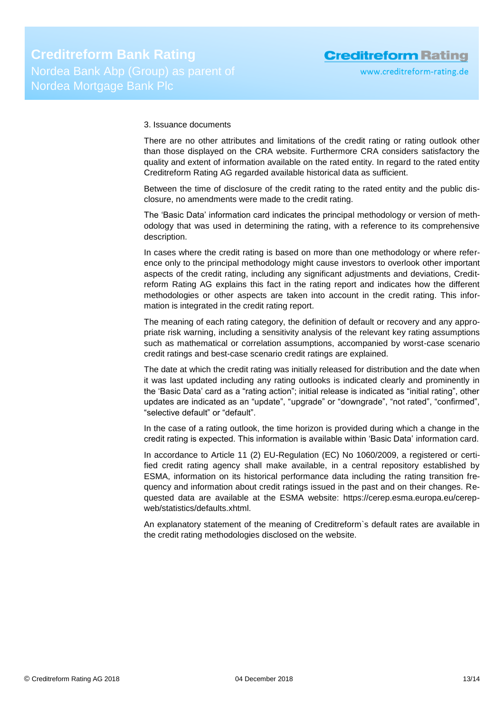## 3. Issuance documents

There are no other attributes and limitations of the credit rating or rating outlook other than those displayed on the CRA website. Furthermore CRA considers satisfactory the quality and extent of information available on the rated entity. In regard to the rated entity Creditreform Rating AG regarded available historical data as sufficient.

Between the time of disclosure of the credit rating to the rated entity and the public disclosure, no amendments were made to the credit rating.

The 'Basic Data' information card indicates the principal methodology or version of methodology that was used in determining the rating, with a reference to its comprehensive description.

In cases where the credit rating is based on more than one methodology or where reference only to the principal methodology might cause investors to overlook other important aspects of the credit rating, including any significant adjustments and deviations, Creditreform Rating AG explains this fact in the rating report and indicates how the different methodologies or other aspects are taken into account in the credit rating. This information is integrated in the credit rating report.

The meaning of each rating category, the definition of default or recovery and any appropriate risk warning, including a sensitivity analysis of the relevant key rating assumptions such as mathematical or correlation assumptions, accompanied by worst-case scenario credit ratings and best-case scenario credit ratings are explained.

The date at which the credit rating was initially released for distribution and the date when it was last updated including any rating outlooks is indicated clearly and prominently in the 'Basic Data' card as a "rating action"; initial release is indicated as "initial rating", other updates are indicated as an "update", "upgrade" or "downgrade", "not rated", "confirmed", "selective default" or "default".

In the case of a rating outlook, the time horizon is provided during which a change in the credit rating is expected. This information is available within 'Basic Data' information card.

In accordance to Article 11 (2) EU-Regulation (EC) No 1060/2009, a registered or certified credit rating agency shall make available, in a central repository established by ESMA, information on its historical performance data including the rating transition frequency and information about credit ratings issued in the past and on their changes. Requested data are available at the ESMA website: https://cerep.esma.europa.eu/cerepweb/statistics/defaults.xhtml.

An explanatory statement of the meaning of Creditreform`s default rates are available in the credit rating methodologies disclosed on the website.